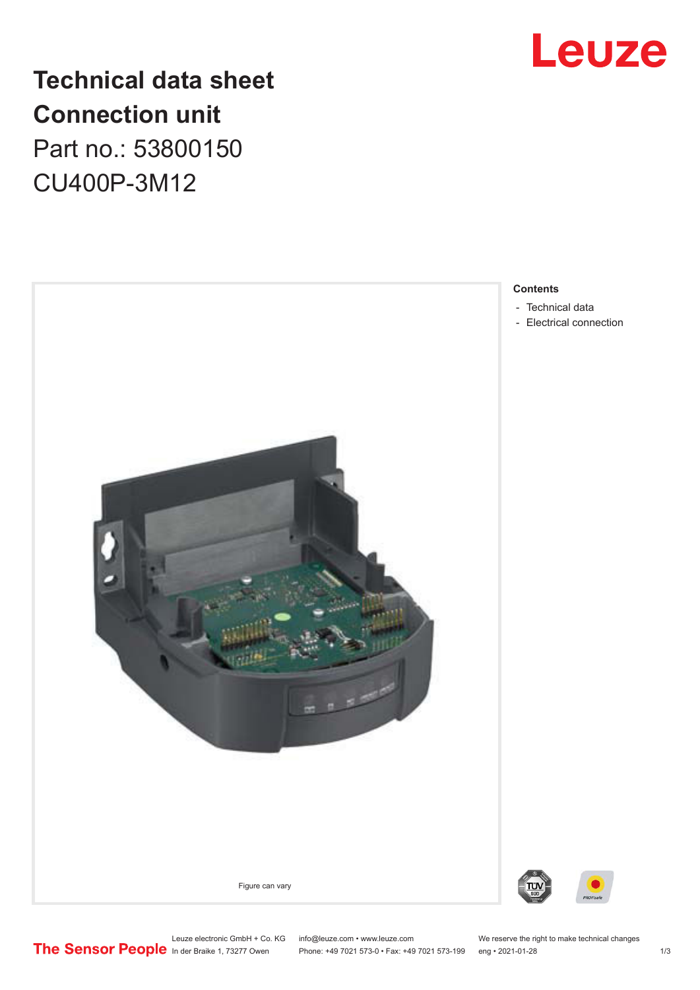

## **Technical data sheet Connection unit** Part no.: 53800150

CU400P-3M12



### **Contents**

- [Technical data](#page-1-0)
- [Electrical connection](#page-1-0)

Leuze electronic GmbH + Co. KG info@leuze.com • www.leuze.com We reserve the right to make technical changes<br>
The Sensor People in der Braike 1, 73277 Owen Phone: +49 7021 573-0 • Fax: +49 7021 573-199 eng • 2021-01-28 Phone: +49 7021 573-0 • Fax: +49 7021 573-199 eng • 2021-01-28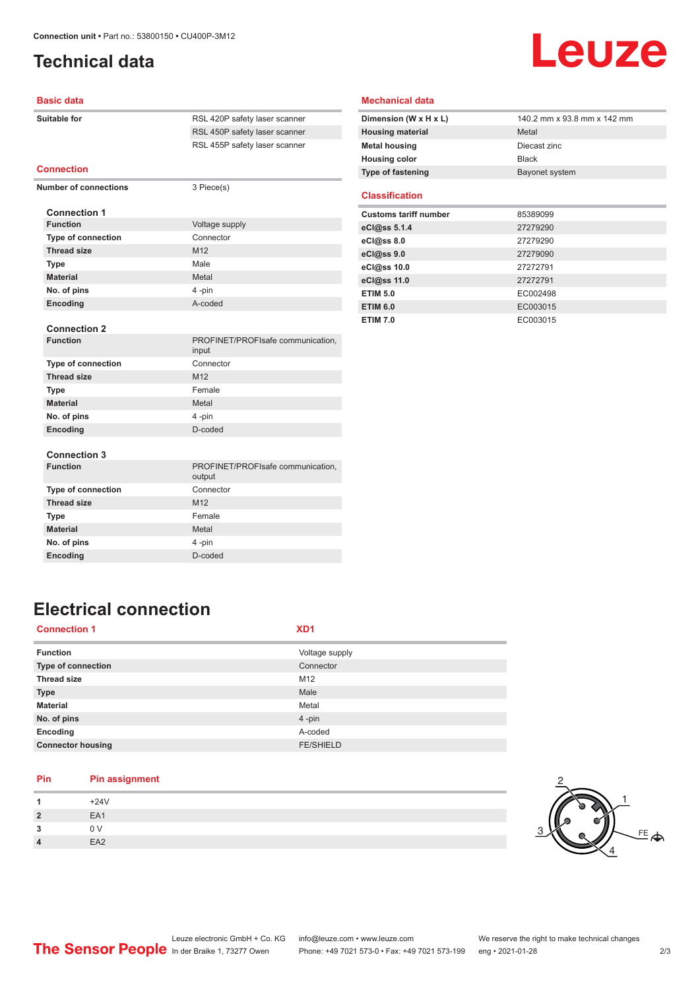### <span id="page-1-0"></span>**Technical data**

# Leuze

#### **Basic data**

| Suitable for                 | RSL 420P safety laser scanner               |
|------------------------------|---------------------------------------------|
|                              | RSL 450P safety laser scanner               |
|                              | RSL 455P safety laser scanner               |
| <b>Connection</b>            |                                             |
| <b>Number of connections</b> | 3 Piece(s)                                  |
| <b>Connection 1</b>          |                                             |
| <b>Function</b>              | Voltage supply                              |
| <b>Type of connection</b>    | Connector                                   |
| <b>Thread size</b>           | M <sub>12</sub>                             |
| <b>Type</b>                  | Male                                        |
| <b>Material</b>              | Metal                                       |
| No. of pins                  | 4-pin                                       |
| Encoding                     | A-coded                                     |
| <b>Connection 2</b>          |                                             |
| <b>Function</b>              | PROFINET/PROFIsafe communication,<br>input  |
| <b>Type of connection</b>    | Connector                                   |
| <b>Thread size</b>           | M12                                         |
| <b>Type</b>                  | Female                                      |
| <b>Material</b>              | Metal                                       |
| No. of pins                  | 4-pin                                       |
| Encoding                     | D-coded                                     |
|                              |                                             |
| <b>Connection 3</b>          |                                             |
| <b>Function</b>              | PROFINET/PROFIsafe communication,<br>output |
| Type of connection           | Connector                                   |
| <b>Thread size</b>           | M <sub>12</sub>                             |
| <b>Type</b>                  | Female                                      |
| <b>Material</b>              | Metal                                       |
| No. of pins                  | 4-pin                                       |
| <b>Encoding</b>              | D-coded                                     |
|                              |                                             |

#### **Mechanical data**

| Dimension (W x H x L)    | 140.2 mm x 93.8 mm x 142 mm |
|--------------------------|-----------------------------|
| <b>Housing material</b>  | Metal                       |
| <b>Metal housing</b>     | Diecast zinc                |
| <b>Housing color</b>     | <b>Black</b>                |
| <b>Type of fastening</b> | Bayonet system              |

#### **Classification**

| <b>Customs tariff number</b> | 85389099 |
|------------------------------|----------|
| eCl@ss 5.1.4                 | 27279290 |
| eC <sub>1</sub> @ss 8.0      | 27279290 |
| eCl@ss 9.0                   | 27279090 |
| eCl@ss 10.0                  | 27272791 |
| eCl@ss 11.0                  | 27272791 |
| <b>ETIM 5.0</b>              | EC002498 |
| <b>ETIM 6.0</b>              | EC003015 |
| <b>ETIM 7.0</b>              | EC003015 |

### **Electrical connection**

| <b>Function</b><br>Voltage supply<br><b>Type of connection</b><br>Connector<br><b>Thread size</b><br>M12<br>Male<br><b>Type</b><br><b>Material</b><br>Metal<br>No. of pins<br>4-pin<br>Encoding<br>A-coded<br><b>Connector housing</b><br><b>FE/SHIELD</b> | <b>Connection 1</b> | XD1 |
|------------------------------------------------------------------------------------------------------------------------------------------------------------------------------------------------------------------------------------------------------------|---------------------|-----|
|                                                                                                                                                                                                                                                            |                     |     |
|                                                                                                                                                                                                                                                            |                     |     |
|                                                                                                                                                                                                                                                            |                     |     |
|                                                                                                                                                                                                                                                            |                     |     |
|                                                                                                                                                                                                                                                            |                     |     |
|                                                                                                                                                                                                                                                            |                     |     |
|                                                                                                                                                                                                                                                            |                     |     |
|                                                                                                                                                                                                                                                            |                     |     |

### **Pin Pin assignment**

|               | $+24V$          |
|---------------|-----------------|
| $\mathcal{P}$ | EA1             |
| ີ             | 0 <sub>V</sub>  |
| 4             | EA <sub>2</sub> |